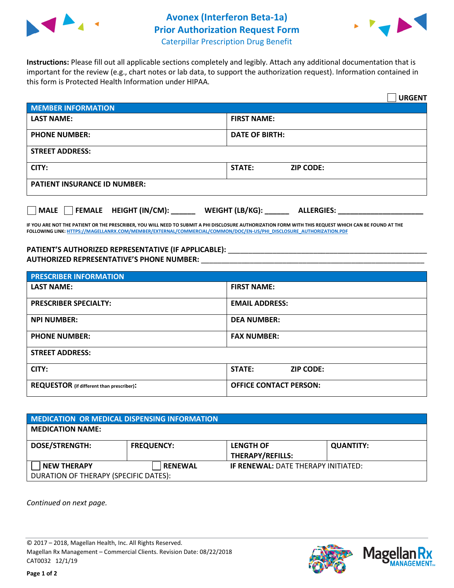

## **Avonex (Interferon Beta-1a) Prior Authorization Request Form**



Caterpillar Prescription Drug Benefit

**Instructions:** Please fill out all applicable sections completely and legibly. Attach any additional documentation that is important for the review (e.g., chart notes or lab data, to support the authorization request). Information contained in this form is Protected Health Information under HIPAA.

|                                                                                                 | <b>URGENT</b>                     |  |  |
|-------------------------------------------------------------------------------------------------|-----------------------------------|--|--|
| <b>MEMBER INFORMATION</b>                                                                       |                                   |  |  |
| <b>LAST NAME:</b>                                                                               | <b>FIRST NAME:</b>                |  |  |
| <b>PHONE NUMBER:</b>                                                                            | <b>DATE OF BIRTH:</b>             |  |  |
| <b>STREET ADDRESS:</b>                                                                          |                                   |  |  |
| CITY:                                                                                           | <b>STATE:</b><br><b>ZIP CODE:</b> |  |  |
| <b>PATIENT INSURANCE ID NUMBER:</b>                                                             |                                   |  |  |
| MALE       FEMALE    HEIGHT (IN/CM): ________    WEIGHT (LB/KG): _________<br><b>ALLERGIES:</b> |                                   |  |  |

**IF YOU ARE NOT THE PATIENT OR THE PRESCRIBER, YOU WILL NEED TO SUBMIT A PHI DISCLOSURE AUTHORIZATION FORM WITH THIS REQUEST WHICH CAN BE FOUND AT THE FOLLOWING LINK[: HTTPS://MAGELLANRX.COM/MEMBER/EXTERNAL/COMMERCIAL/COMMON/DOC/EN-US/PHI\\_DISCLOSURE\\_AUTHORIZATION.PDF](https://magellanrx.com/member/external/commercial/common/doc/en-us/PHI_Disclosure_Authorization.pdf)**

## **PATIENT'S AUTHORIZED REPRESENTATIVE (IF APPLICABLE):** \_\_\_\_\_\_\_\_\_\_\_\_\_\_\_\_\_\_\_\_\_\_\_\_\_\_\_\_\_\_\_\_\_\_\_\_\_\_\_\_\_\_\_\_\_\_\_\_\_ **AUTHORIZED REPRESENTATIVE'S PHONE NUMBER:** \_\_\_\_\_\_\_\_\_\_\_\_\_\_\_\_\_\_\_\_\_\_\_\_\_\_\_\_\_\_\_\_\_\_\_\_\_\_\_\_\_\_\_\_\_\_\_\_\_\_\_\_\_\_\_

| <b>PRESCRIBER INFORMATION</b>             |                               |  |
|-------------------------------------------|-------------------------------|--|
| <b>LAST NAME:</b>                         | <b>FIRST NAME:</b>            |  |
| <b>PRESCRIBER SPECIALTY:</b>              | <b>EMAIL ADDRESS:</b>         |  |
| <b>NPI NUMBER:</b>                        | <b>DEA NUMBER:</b>            |  |
| <b>PHONE NUMBER:</b>                      | <b>FAX NUMBER:</b>            |  |
| <b>STREET ADDRESS:</b>                    |                               |  |
| CITY:                                     | STATE:<br><b>ZIP CODE:</b>    |  |
| REQUESTOR (if different than prescriber): | <b>OFFICE CONTACT PERSON:</b> |  |

| MEDICATION OR MEDICAL DISPENSING INFORMATION |                   |                                            |                  |  |  |
|----------------------------------------------|-------------------|--------------------------------------------|------------------|--|--|
| <b>MEDICATION NAME:</b>                      |                   |                                            |                  |  |  |
| <b>DOSE/STRENGTH:</b>                        | <b>FREQUENCY:</b> | <b>LENGTH OF</b>                           | <b>QUANTITY:</b> |  |  |
|                                              |                   | <b>THERAPY/REFILLS:</b>                    |                  |  |  |
| <b>NEW THERAPY</b>                           | <b>RENEWAL</b>    | <b>IF RENEWAL: DATE THERAPY INITIATED:</b> |                  |  |  |
| DURATION OF THERAPY (SPECIFIC DATES):        |                   |                                            |                  |  |  |

*Continued on next page.*

© 2017 – 2018, Magellan Health, Inc. All Rights Reserved. Magellan Rx Management – Commercial Clients. Revision Date: 08/22/2018 CAT0032 12/1/19